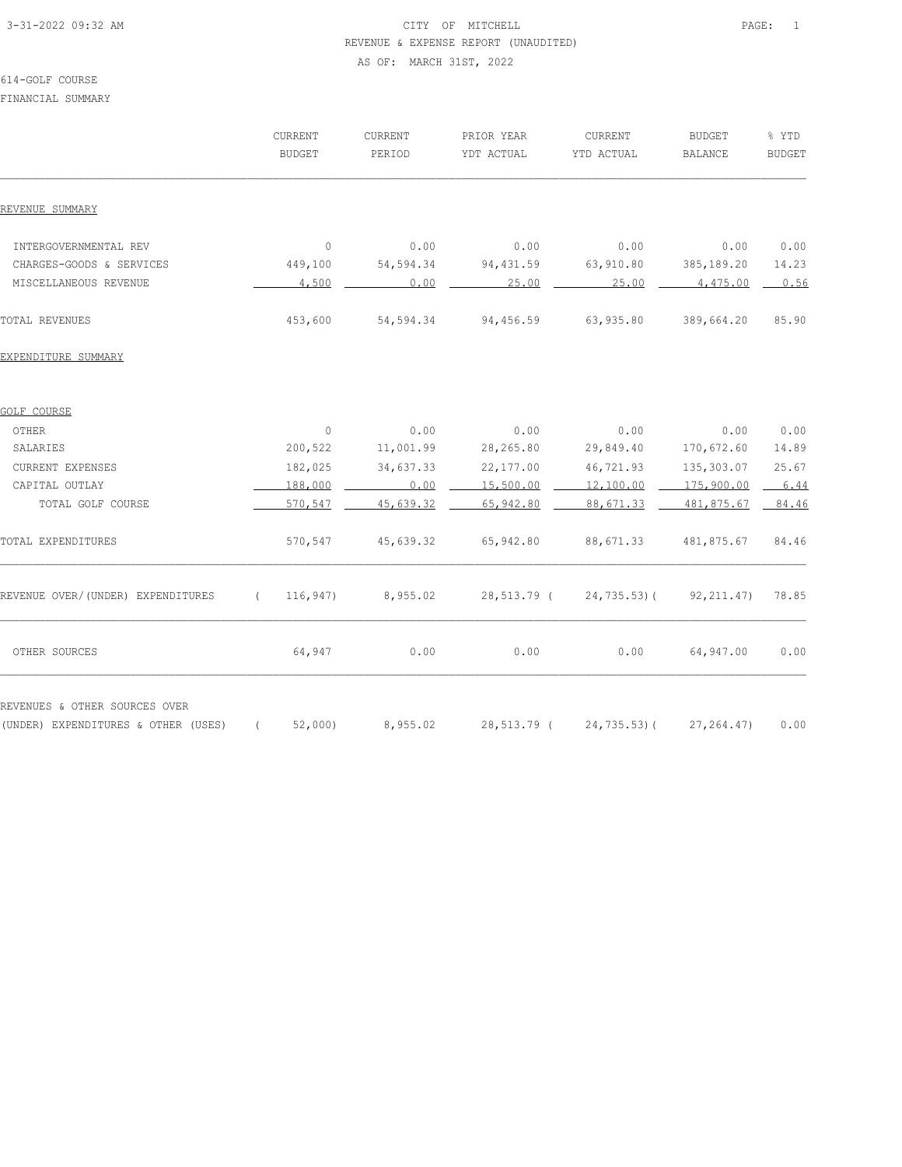# 3-31-2022 09:32 AM CITY OF MITCHELL PAGE: 1 REVENUE & EXPENSE REPORT (UNAUDITED) AS OF: MARCH 31ST, 2022

#### 614-GOLF COURSE

FINANCIAL SUMMARY

|                                                                      |          | CURRENT<br><b>BUDGET</b> | <b>CURRENT</b><br>PERIOD | PRIOR YEAR<br>YDT ACTUAL | CURRENT<br>YTD ACTUAL | <b>BUDGET</b><br><b>BALANCE</b> | % YTD<br><b>BUDGET</b> |
|----------------------------------------------------------------------|----------|--------------------------|--------------------------|--------------------------|-----------------------|---------------------------------|------------------------|
| REVENUE SUMMARY                                                      |          |                          |                          |                          |                       |                                 |                        |
| INTERGOVERNMENTAL REV                                                |          | $\circ$                  | 0.00                     | 0.00                     | 0.00                  | 0.00                            | 0.00                   |
| CHARGES-GOODS & SERVICES                                             |          | 449,100                  | 54,594.34                | 94, 431.59               | 63,910.80             | 385,189.20                      | 14.23                  |
| MISCELLANEOUS REVENUE                                                |          | 4,500                    | 0.00                     | 25.00                    | 25.00                 | 4,475.00                        | 0.56                   |
| TOTAL REVENUES                                                       |          | 453,600                  | 54,594.34                | 94,456.59                | 63,935.80             | 389,664.20                      | 85.90                  |
| EXPENDITURE SUMMARY                                                  |          |                          |                          |                          |                       |                                 |                        |
| GOLF COURSE                                                          |          |                          |                          |                          |                       |                                 |                        |
| OTHER                                                                |          | $\mathbb O$              | 0.00                     | 0.00                     | 0.00                  | 0.00                            | 0.00                   |
| SALARIES                                                             |          | 200,522                  | 11,001.99                | 28, 265.80               | 29,849.40             | 170,672.60                      | 14.89                  |
| <b>CURRENT EXPENSES</b>                                              |          | 182,025                  | 34,637.33                | 22, 177.00               | 46,721.93             | 135,303.07                      | 25.67                  |
| CAPITAL OUTLAY                                                       |          | 188,000                  | 0.00                     | 15,500.00                | 12,100.00             | 175,900.00                      | 6.44                   |
| TOTAL GOLF COURSE                                                    |          | 570,547                  | 45,639.32                | 65,942.80                | 88,671.33             | 481,875.67                      | 84.46                  |
| TOTAL EXPENDITURES                                                   |          | 570,547                  | 45,639.32                | 65,942.80                | 88,671.33             | 481,875.67                      | 84.46                  |
| REVENUE OVER/(UNDER) EXPENDITURES                                    | $\left($ | 116,947)                 | 8,955.02                 | 28,513.79 (              | $24, 735.53$ ) (      | 92, 211.47)                     | 78.85                  |
| OTHER SOURCES                                                        |          | 64,947                   | 0.00                     | 0.00                     | 0.00                  | 64,947.00                       | 0.00                   |
| REVENUES & OTHER SOURCES OVER<br>(UNDER) EXPENDITURES & OTHER (USES) | $\left($ | 52,000                   | 8,955.02                 | 28,513.79 (              | 24,735.53)(           | 27, 264.47                      | 0.00                   |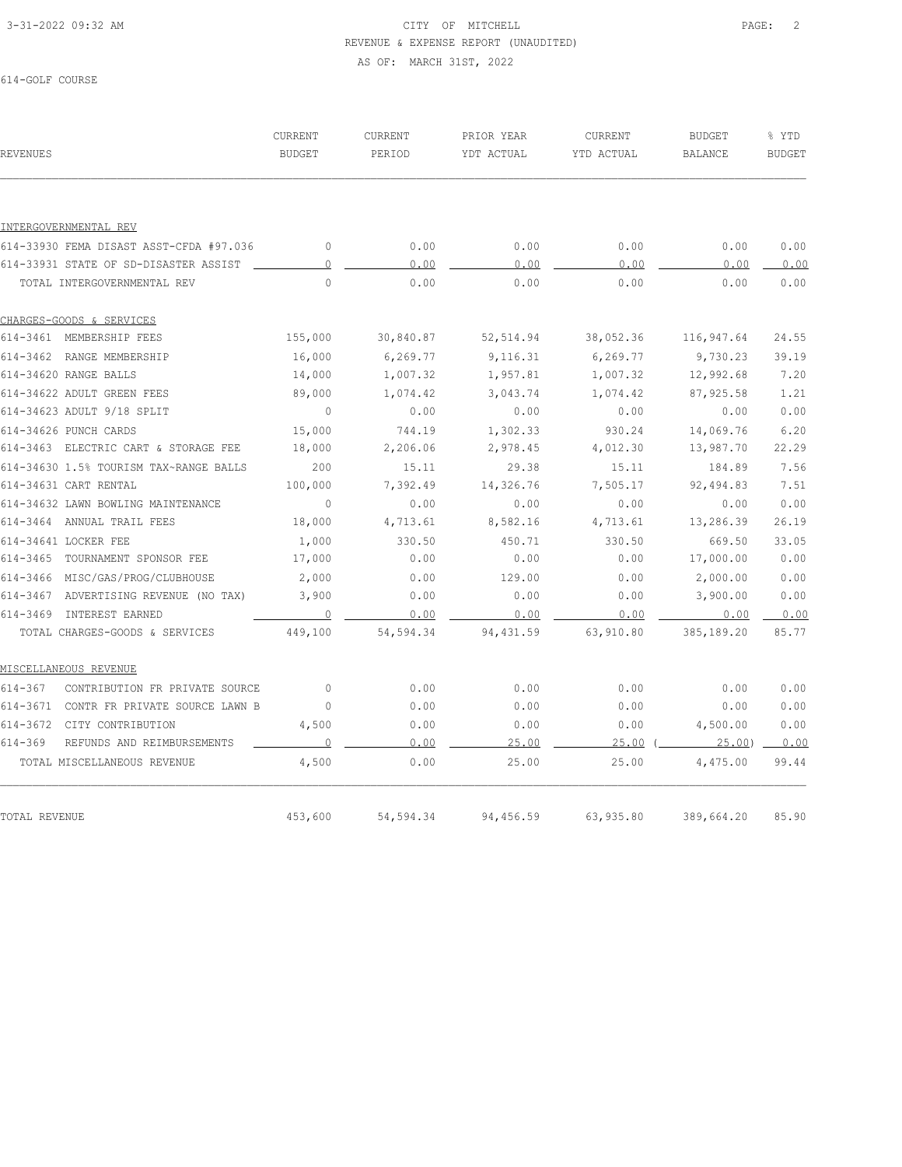# 3-31-2022 09:32 AM CITY OF MITCHELL PAGE: 2 REVENUE & EXPENSE REPORT (UNAUDITED) AS OF: MARCH 31ST, 2022

614-GOLF COURSE

| REVENUES                                      | CURRENT<br><b>BUDGET</b> | <b>CURRENT</b><br>PERIOD | PRIOR YEAR<br>YDT ACTUAL | CURRENT<br>YTD ACTUAL | <b>BUDGET</b><br><b>BALANCE</b> | % YTD<br><b>BUDGET</b> |
|-----------------------------------------------|--------------------------|--------------------------|--------------------------|-----------------------|---------------------------------|------------------------|
|                                               |                          |                          |                          |                       |                                 |                        |
| INTERGOVERNMENTAL REV                         |                          |                          |                          |                       |                                 |                        |
| 614-33930 FEMA DISAST ASST-CFDA #97.036       | $\circ$                  | 0.00                     | 0.00                     | 0.00                  | 0.00                            | 0.00                   |
| 614-33931 STATE OF SD-DISASTER ASSIST         | $\circ$                  | 0.00                     | 0.00                     | 0.00                  | 0.00                            | 0.00                   |
| TOTAL INTERGOVERNMENTAL REV                   | $\Omega$                 | 0.00                     | 0.00                     | 0.00                  | 0.00                            | 0.00                   |
| CHARGES-GOODS & SERVICES                      |                          |                          |                          |                       |                                 |                        |
| 614-3461 MEMBERSHIP FEES                      | 155,000                  | 30,840.87                | 52,514.94                | 38,052.36             | 116,947.64                      | 24.55                  |
| 614-3462 RANGE MEMBERSHIP                     | 16,000                   | 6, 269.77                | 9,116.31                 | 6,269.77              | 9,730.23                        | 39.19                  |
| 614-34620 RANGE BALLS                         | 14,000                   | 1,007.32                 | 1,957.81                 | 1,007.32              | 12,992.68                       | 7.20                   |
| 614-34622 ADULT GREEN FEES                    | 89,000                   | 1,074.42                 | 3,043.74                 | 1,074.42              | 87,925.58                       | 1.21                   |
| 614-34623 ADULT 9/18 SPLIT                    | $\mathbf{0}$             | 0.00                     | 0.00                     | 0.00                  | 0.00                            | 0.00                   |
| 614-34626 PUNCH CARDS                         | 15,000                   | 744.19                   | 1,302.33                 | 930.24                | 14,069.76                       | 6.20                   |
| 614-3463 ELECTRIC CART & STORAGE FEE          | 18,000                   | 2,206.06                 | 2,978.45                 | 4,012.30              | 13,987.70                       | 22.29                  |
| 614-34630 1.5% TOURISM TAX~RANGE BALLS        | 200                      | 15.11                    | 29.38                    | 15.11                 | 184.89                          | 7.56                   |
| 614-34631 CART RENTAL                         | 100,000                  | 7,392.49                 | 14,326.76                | 7,505.17              | 92,494.83                       | 7.51                   |
| 614-34632 LAWN BOWLING MAINTENANCE            | $\sim$ 0                 | 0.00                     | 0.00                     | 0.00                  | 0.00                            | 0.00                   |
| 614-3464 ANNUAL TRAIL FEES                    | 18,000                   | 4,713.61                 | 8,582.16                 | 4,713.61              | 13,286.39                       | 26.19                  |
| 614-34641 LOCKER FEE                          | 1,000                    | 330.50                   | 450.71                   | 330.50                | 669.50                          | 33.05                  |
| 614-3465 TOURNAMENT SPONSOR FEE               | 17,000                   | 0.00                     | 0.00                     | 0.00                  | 17,000.00                       | 0.00                   |
| 614-3466 MISC/GAS/PROG/CLUBHOUSE              | 2,000                    | 0.00                     | 129.00                   | 0.00                  | 2,000.00                        | 0.00                   |
| 614-3467 ADVERTISING REVENUE (NO TAX)         | 3,900                    | 0.00                     | 0.00                     | 0.00                  | 3,900.00                        | 0.00                   |
| 614-3469 INTEREST EARNED                      | $\overline{0}$           | 0.00                     | 0.00                     | 0.00                  | 0.00                            | 0.00                   |
| TOTAL CHARGES-GOODS & SERVICES                | 449,100                  | 54,594.34                | 94,431.59                | 63,910.80             | 385,189.20                      | 85.77                  |
| MISCELLANEOUS REVENUE                         |                          |                          |                          |                       |                                 |                        |
| $614 - 367$<br>CONTRIBUTION FR PRIVATE SOURCE | $\overline{0}$           | 0.00                     | 0.00                     | 0.00                  | 0.00                            | 0.00                   |
| 614-3671 CONTR FR PRIVATE SOURCE LAWN B       | 0                        | 0.00                     | 0.00                     | 0.00                  | 0.00                            | 0.00                   |
| 614-3672 CITY CONTRIBUTION                    | 4,500                    | 0.00                     | 0.00                     | 0.00                  | 4,500.00                        | 0.00                   |
| $614 - 369$<br>REFUNDS AND REIMBURSEMENTS     | $\circ$                  | 0.00                     | 25.00                    | 25.00                 | 25.00                           | 0.00                   |
| TOTAL MISCELLANEOUS REVENUE                   | 4,500                    | 0.00                     | 25.00                    | 25.00                 | 4,475.00                        | 99.44                  |
|                                               |                          |                          |                          |                       |                                 |                        |
| TOTAL REVENUE                                 | 453,600                  | 54,594.34                | 94,456.59                | 63,935.80             | 389,664.20                      | 85.90                  |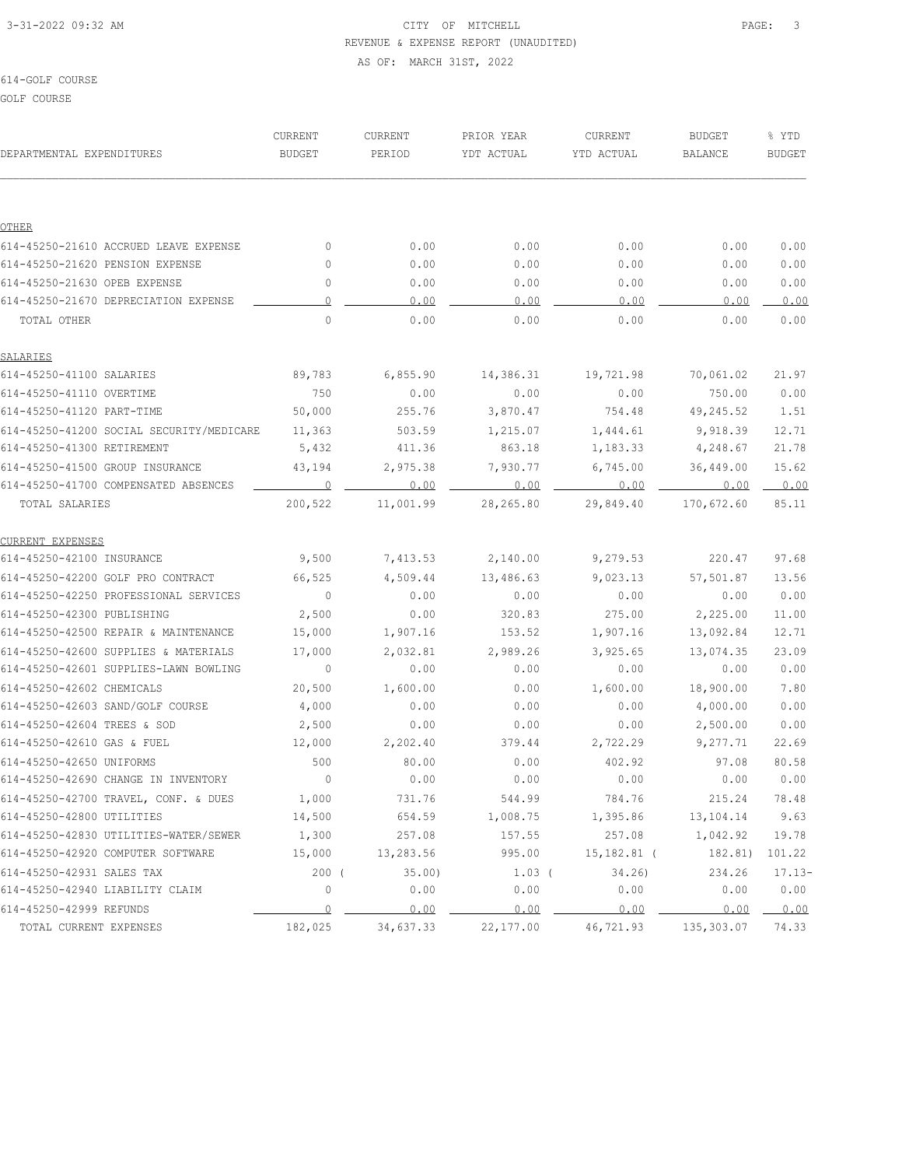# 3-31-2022 09:32 AM PAGE: 3 REVENUE & EXPENSE REPORT (UNAUDITED) AS OF: MARCH 31ST, 2022

#### 614-GOLF COURSE

GOLF COURSE

| DEPARTMENTAL EXPENDITURES                | CURRENT<br>BUDGET | CURRENT<br>PERIOD | PRIOR YEAR<br>YDT ACTUAL | CURRENT<br>YTD ACTUAL           | <b>BUDGET</b><br><b>BALANCE</b> | % YTD<br><b>BUDGET</b> |
|------------------------------------------|-------------------|-------------------|--------------------------|---------------------------------|---------------------------------|------------------------|
|                                          |                   |                   |                          |                                 |                                 |                        |
|                                          |                   |                   |                          |                                 |                                 |                        |
| OTHER                                    |                   |                   |                          |                                 |                                 |                        |
| 614-45250-21610 ACCRUED LEAVE EXPENSE    | $\circ$           | 0.00              | 0.00                     | 0.00                            | 0.00                            | 0.00                   |
| 614-45250-21620 PENSION EXPENSE          | $\circ$           | 0.00              | 0.00                     | 0.00                            | 0.00                            | 0.00                   |
| 614-45250-21630 OPEB EXPENSE             | $\circ$           | 0.00              | 0.00                     | 0.00                            | 0.00                            | 0.00                   |
| 614-45250-21670 DEPRECIATION EXPENSE     | 0                 | 0.00              | 0.00                     | 0.00                            | 0.00                            | 0.00                   |
| TOTAL OTHER                              | $\Omega$          | 0.00              | 0.00                     | 0.00                            | 0.00                            | 0.00                   |
| SALARIES                                 |                   |                   |                          |                                 |                                 |                        |
| 614-45250-41100 SALARIES                 | 89,783            | 6,855.90          | 14,386.31                | 19,721.98                       | 70,061.02                       | 21.97                  |
| 614-45250-41110 OVERTIME                 | 750               | 0.00              | 0.00                     | 0.00                            | 750.00                          | 0.00                   |
| 614-45250-41120 PART-TIME                | 50,000            | 255.76            | 3,870.47                 | 754.48                          | 49,245.52                       | 1.51                   |
| 614-45250-41200 SOCIAL SECURITY/MEDICARE | 11,363            | 503.59            | 1,215.07                 | 1,444.61                        | 9,918.39                        | 12.71                  |
| 614-45250-41300 RETIREMENT               | 5,432             | 411.36            | 863.18                   | 1,183.33                        | 4,248.67                        | 21.78                  |
| 614-45250-41500 GROUP INSURANCE          | 43,194            | 2,975.38          | 7,930.77                 | 6,745.00                        | 36,449.00                       | 15.62                  |
| 614-45250-41700 COMPENSATED ABSENCES     | 0                 | 0.00              | 0.00                     | 0.00                            | 0.00                            | 0.00                   |
| <b>TOTAL SALARIES</b>                    | 200,522           | 11,001.99         | 28,265.80                | 29,849.40                       | 170,672.60                      | 85.11                  |
| CURRENT EXPENSES                         |                   |                   |                          |                                 |                                 |                        |
| 614-45250-42100 INSURANCE                | 9,500             | 7,413.53          | 2,140.00                 | 9,279.53                        | 220.47                          | 97.68                  |
| 614-45250-42200 GOLF PRO CONTRACT        | 66,525            | 4,509.44          | 13,486.63                | 9,023.13                        | 57,501.87                       | 13.56                  |
| 614-45250-42250 PROFESSIONAL SERVICES    | $\circ$           | 0.00              | 0.00                     | 0.00                            | 0.00                            | 0.00                   |
| 614-45250-42300 PUBLISHING               | 2,500             | 0.00              | 320.83                   | 275.00                          | 2,225.00                        | 11.00                  |
| 614-45250-42500 REPAIR & MAINTENANCE     | 15,000            | 1,907.16          | 153.52                   | 1,907.16                        | 13,092.84                       | 12.71                  |
| 614-45250-42600 SUPPLIES & MATERIALS     | 17,000            | 2,032.81          | 2,989.26                 | 3,925.65                        | 13,074.35                       | 23.09                  |
| 614-45250-42601 SUPPLIES-LAWN BOWLING    | $\overline{0}$    | 0.00              | 0.00                     | 0.00                            | 0.00                            | 0.00                   |
| 614-45250-42602 CHEMICALS                | 20,500            | 1,600.00          | 0.00                     | 1,600.00                        | 18,900.00                       | 7.80                   |
| 614-45250-42603 SAND/GOLF COURSE         | 4,000             | 0.00              | 0.00                     | 0.00                            | 4,000.00                        | 0.00                   |
| 614-45250-42604 TREES & SOD              | 2,500             | 0.00              | 0.00                     | 0.00                            | 2,500.00                        | 0.00                   |
| 614-45250-42610 GAS & FUEL               | 12,000            | 2,202.40          | 379.44                   | 2,722.29                        | 9,277.71                        | 22.69                  |
| 614-45250-42650 UNIFORMS                 | 500               | 80.00             | 0.00                     | 402.92                          | 97.08                           | 80.58                  |
| 614-45250-42690 CHANGE IN INVENTORY      | $\overline{0}$    | 0.00              | 0.00                     | 0.00                            | 0.00                            | 0.00                   |
| 614-45250-42700 TRAVEL, CONF. & DUES     | 1,000             | 731.76            | 544.99                   | 784.76                          | 215.24                          | 78.48                  |
| 614-45250-42800 UTILITIES                | 14,500            | 654.59            | 1,008.75                 | 1,395.86                        | 13,104.14                       | 9.63                   |
| 614-45250-42830 UTILITIES-WATER/SEWER    | 1,300             | 257.08            | 157.55                   | 257.08                          | 1,042.92                        | 19.78                  |
| 614-45250-42920 COMPUTER SOFTWARE        | 15,000            | 13,283.56         | 995.00                   | 15,182.81 (                     | 182.81)                         | 101.22                 |
| 614-45250-42931 SALES TAX                | 200(              | 35.00             | $1.03$ (                 | 34.26)                          | 234.26                          | $17.13-$               |
| 614-45250-42940 LIABILITY CLAIM          | $\mathbb O$       | 0.00              | 0.00                     | ${\bf 0}$ . ${\bf 0}$ ${\bf 0}$ | 0.00                            | 0.00                   |
| 614-45250-42999 REFUNDS                  | $\overline{0}$    | 0.00              | 0.00                     | 0.00                            | 0.00                            | 0.00                   |
| TOTAL CURRENT EXPENSES                   | 182,025           | 34,637.33         | 22, 177.00               | 46,721.93                       | 135,303.07                      | 74.33                  |